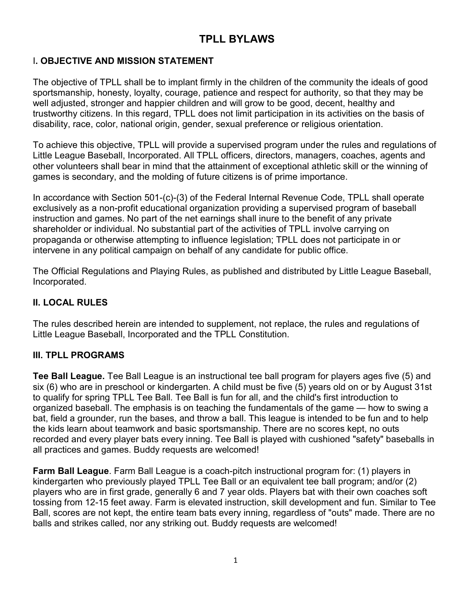# TPLL BYLAWS

## I. OBJECTIVE AND MISSION STATEMENT

The objective of TPLL shall be to implant firmly in the children of the community the ideals of good sportsmanship, honesty, loyalty, courage, patience and respect for authority, so that they may be well adjusted, stronger and happier children and will grow to be good, decent, healthy and trustworthy citizens. In this regard, TPLL does not limit participation in its activities on the basis of disability, race, color, national origin, gender, sexual preference or religious orientation.

To achieve this objective, TPLL will provide a supervised program under the rules and regulations of Little League Baseball, Incorporated. All TPLL officers, directors, managers, coaches, agents and other volunteers shall bear in mind that the attainment of exceptional athletic skill or the winning of games is secondary, and the molding of future citizens is of prime importance.

In accordance with Section 501-(c)-(3) of the Federal Internal Revenue Code, TPLL shall operate exclusively as a non-profit educational organization providing a supervised program of baseball instruction and games. No part of the net earnings shall inure to the benefit of any private shareholder or individual. No substantial part of the activities of TPLL involve carrying on propaganda or otherwise attempting to influence legislation; TPLL does not participate in or intervene in any political campaign on behalf of any candidate for public office.

The Official Regulations and Playing Rules, as published and distributed by Little League Baseball, Incorporated.

## II. LOCAL RULES

The rules described herein are intended to supplement, not replace, the rules and regulations of Little League Baseball, Incorporated and the TPLL Constitution.

## III. TPLL PROGRAMS

Tee Ball League. Tee Ball League is an instructional tee ball program for players ages five (5) and six (6) who are in preschool or kindergarten. A child must be five (5) years old on or by August 31st to qualify for spring TPLL Tee Ball. Tee Ball is fun for all, and the child's first introduction to organized baseball. The emphasis is on teaching the fundamentals of the game — how to swing a bat, field a grounder, run the bases, and throw a ball. This league is intended to be fun and to help the kids learn about teamwork and basic sportsmanship. There are no scores kept, no outs recorded and every player bats every inning. Tee Ball is played with cushioned "safety" baseballs in all practices and games. Buddy requests are welcomed!

Farm Ball League. Farm Ball League is a coach-pitch instructional program for: (1) players in kindergarten who previously played TPLL Tee Ball or an equivalent tee ball program; and/or (2) players who are in first grade, generally 6 and 7 year olds. Players bat with their own coaches soft tossing from 12-15 feet away. Farm is elevated instruction, skill development and fun. Similar to Tee Ball, scores are not kept, the entire team bats every inning, regardless of "outs" made. There are no balls and strikes called, nor any striking out. Buddy requests are welcomed!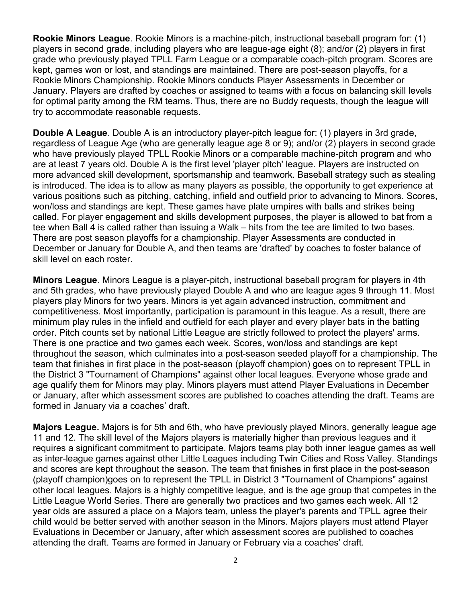Rookie Minors League. Rookie Minors is a machine-pitch, instructional baseball program for: (1) players in second grade, including players who are league-age eight (8); and/or (2) players in first grade who previously played TPLL Farm League or a comparable coach-pitch program. Scores are kept, games won or lost, and standings are maintained. There are post-season playoffs, for a Rookie Minors Championship. Rookie Minors conducts Player Assessments in December or January. Players are drafted by coaches or assigned to teams with a focus on balancing skill levels for optimal parity among the RM teams. Thus, there are no Buddy requests, though the league will try to accommodate reasonable requests.

Double A League. Double A is an introductory player-pitch league for: (1) players in 3rd grade, regardless of League Age (who are generally league age 8 or 9); and/or (2) players in second grade who have previously played TPLL Rookie Minors or a comparable machine-pitch program and who are at least 7 years old. Double A is the first level 'player pitch' league. Players are instructed on more advanced skill development, sportsmanship and teamwork. Baseball strategy such as stealing is introduced. The idea is to allow as many players as possible, the opportunity to get experience at various positions such as pitching, catching, infield and outfield prior to advancing to Minors. Scores, won/loss and standings are kept. These games have plate umpires with balls and strikes being called. For player engagement and skills development purposes, the player is allowed to bat from a tee when Ball 4 is called rather than issuing a Walk – hits from the tee are limited to two bases. There are post season playoffs for a championship. Player Assessments are conducted in December or January for Double A, and then teams are 'drafted' by coaches to foster balance of skill level on each roster.

Minors League. Minors League is a player-pitch, instructional baseball program for players in 4th and 5th grades, who have previously played Double A and who are league ages 9 through 11. Most players play Minors for two years. Minors is yet again advanced instruction, commitment and competitiveness. Most importantly, participation is paramount in this league. As a result, there are minimum play rules in the infield and outfield for each player and every player bats in the batting order. Pitch counts set by national Little League are strictly followed to protect the players' arms. There is one practice and two games each week. Scores, won/loss and standings are kept throughout the season, which culminates into a post-season seeded playoff for a championship. The team that finishes in first place in the post-season (playoff champion) goes on to represent TPLL in the District 3 "Tournament of Champions" against other local leagues. Everyone whose grade and age qualify them for Minors may play. Minors players must attend Player Evaluations in December or January, after which assessment scores are published to coaches attending the draft. Teams are formed in January via a coaches' draft.

Majors League. Majors is for 5th and 6th, who have previously played Minors, generally league age 11 and 12. The skill level of the Majors players is materially higher than previous leagues and it requires a significant commitment to participate. Majors teams play both inner league games as well as inter-league games against other Little Leagues including Twin Cities and Ross Valley. Standings and scores are kept throughout the season. The team that finishes in first place in the post-season (playoff champion)goes on to represent the TPLL in District 3 "Tournament of Champions" against other local leagues. Majors is a highly competitive league, and is the age group that competes in the Little League World Series. There are generally two practices and two games each week. All 12 year olds are assured a place on a Majors team, unless the player's parents and TPLL agree their child would be better served with another season in the Minors. Majors players must attend Player Evaluations in December or January, after which assessment scores are published to coaches attending the draft. Teams are formed in January or February via a coaches' draft.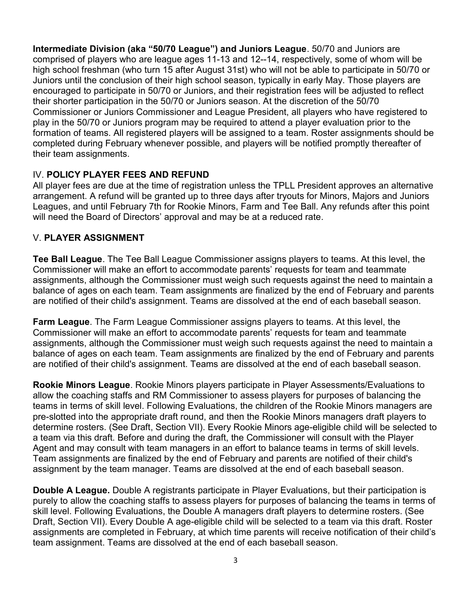Intermediate Division (aka "50/70 League") and Juniors League. 50/70 and Juniors are comprised of players who are league ages 11-13 and 12--14, respectively, some of whom will be high school freshman (who turn 15 after August 31st) who will not be able to participate in 50/70 or Juniors until the conclusion of their high school season, typically in early May. Those players are encouraged to participate in 50/70 or Juniors, and their registration fees will be adjusted to reflect their shorter participation in the 50/70 or Juniors season. At the discretion of the 50/70 Commissioner or Juniors Commissioner and League President, all players who have registered to play in the 50/70 or Juniors program may be required to attend a player evaluation prior to the formation of teams. All registered players will be assigned to a team. Roster assignments should be completed during February whenever possible, and players will be notified promptly thereafter of their team assignments.

## IV. POLICY PLAYER FEES AND REFUND

All player fees are due at the time of registration unless the TPLL President approves an alternative arrangement. A refund will be granted up to three days after tryouts for Minors, Majors and Juniors Leagues, and until February 7th for Rookie Minors, Farm and Tee Ball. Any refunds after this point will need the Board of Directors' approval and may be at a reduced rate.

## V. PLAYER ASSIGNMENT

Tee Ball League. The Tee Ball League Commissioner assigns players to teams. At this level, the Commissioner will make an effort to accommodate parents' requests for team and teammate assignments, although the Commissioner must weigh such requests against the need to maintain a balance of ages on each team. Team assignments are finalized by the end of February and parents are notified of their child's assignment. Teams are dissolved at the end of each baseball season.

Farm League. The Farm League Commissioner assigns players to teams. At this level, the Commissioner will make an effort to accommodate parents' requests for team and teammate assignments, although the Commissioner must weigh such requests against the need to maintain a balance of ages on each team. Team assignments are finalized by the end of February and parents are notified of their child's assignment. Teams are dissolved at the end of each baseball season.

Rookie Minors League. Rookie Minors players participate in Player Assessments/Evaluations to allow the coaching staffs and RM Commissioner to assess players for purposes of balancing the teams in terms of skill level. Following Evaluations, the children of the Rookie Minors managers are pre-slotted into the appropriate draft round, and then the Rookie Minors managers draft players to determine rosters. (See Draft, Section VII). Every Rookie Minors age-eligible child will be selected to a team via this draft. Before and during the draft, the Commissioner will consult with the Player Agent and may consult with team managers in an effort to balance teams in terms of skill levels. Team assignments are finalized by the end of February and parents are notified of their child's assignment by the team manager. Teams are dissolved at the end of each baseball season.

Double A League. Double A registrants participate in Player Evaluations, but their participation is purely to allow the coaching staffs to assess players for purposes of balancing the teams in terms of skill level. Following Evaluations, the Double A managers draft players to determine rosters. (See Draft, Section VII). Every Double A age-eligible child will be selected to a team via this draft. Roster assignments are completed in February, at which time parents will receive notification of their child's team assignment. Teams are dissolved at the end of each baseball season.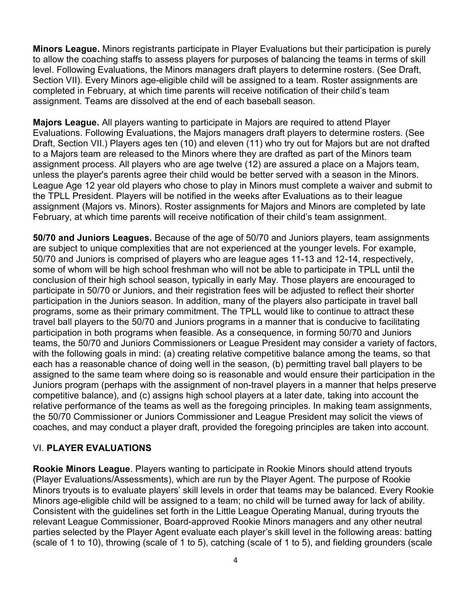Minors League. Minors registrants participate in Player Evaluations but their participation is purely to allow the coaching staffs to assess players for purposes of balancing the teams in terms of skill level. Following Evaluations, the Minors managers draft players to determine rosters. (See Draft, Section VII). Every Minors age-eligible child will be assigned to a team. Roster assignments are completed in February, at which time parents will receive notification of their child's team assignment. Teams are dissolved at the end of each baseball season.

Majors League. All players wanting to participate in Majors are required to attend Player Evaluations. Following Evaluations, the Majors managers draft players to determine rosters. (See Draft, Section VII.) Players ages ten (10) and eleven (11) who try out for Majors but are not drafted to a Majors team are released to the Minors where they are drafted as part of the Minors team assignment process. All players who are age twelve (12) are assured a place on a Majors team, unless the player's parents agree their child would be better served with a season in the Minors. League Age 12 year old players who chose to play in Minors must complete a waiver and submit to the TPLL President. Players will be notified in the weeks after Evaluations as to their league assignment (Majors vs. Minors). Roster assignments for Majors and Minors are completed by late February, at which time parents will receive notification of their child's team assignment.

50/70 and Juniors Leagues. Because of the age of 50/70 and Juniors players, team assignments are subject to unique complexities that are not experienced at the younger levels. For example, 50/70 and Juniors is comprised of players who are league ages 11-13 and 12-14, respectively, some of whom will be high school freshman who will not be able to participate in TPLL until the conclusion of their high school season, typically in early May. Those players are encouraged to participate in 50/70 or Juniors, and their registration fees will be adjusted to reflect their shorter participation in the Juniors season. In addition, many of the players also participate in travel ball programs, some as their primary commitment. The TPLL would like to continue to attract these travel ball players to the 50/70 and Juniors programs in a manner that is conducive to facilitating participation in both programs when feasible. As a consequence, in forming 50/70 and Juniors teams, the 50/70 and Juniors Commissioners or League President may consider a variety of factors, with the following goals in mind: (a) creating relative competitive balance among the teams, so that each has a reasonable chance of doing well in the season, (b) permitting travel ball players to be assigned to the same team where doing so is reasonable and would ensure their participation in the Juniors program (perhaps with the assignment of non-travel players in a manner that helps preserve competitive balance), and (c) assigns high school players at a later date, taking into account the relative performance of the teams as well as the foregoing principles. In making team assignments, the 50/70 Commissioner or Juniors Commissioner and League President may solicit the views of coaches, and may conduct a player draft, provided the foregoing principles are taken into account.

## VI. PLAYER EVALUATIONS

Rookie Minors League. Players wanting to participate in Rookie Minors should attend tryouts (Player Evaluations/Assessments), which are run by the Player Agent. The purpose of Rookie Minors tryouts is to evaluate players' skill levels in order that teams may be balanced. Every Rookie Minors age-eligible child will be assigned to a team; no child will be turned away for lack of ability. Consistent with the guidelines set forth in the Little League Operating Manual, during tryouts the relevant League Commissioner, Board-approved Rookie Minors managers and any other neutral parties selected by the Player Agent evaluate each player's skill level in the following areas: batting (scale of 1 to 10), throwing (scale of 1 to 5), catching (scale of 1 to 5), and fielding grounders (scale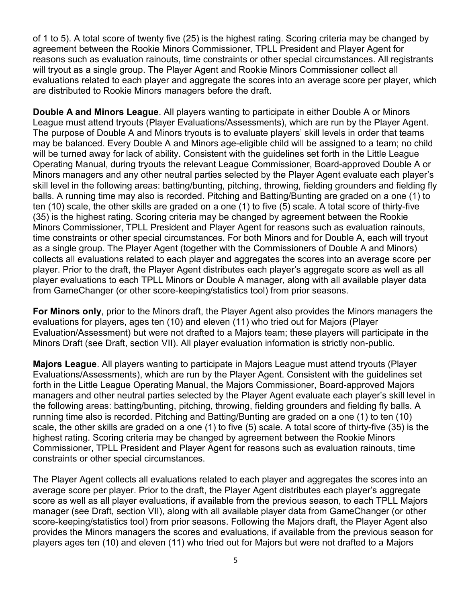of 1 to 5). A total score of twenty five (25) is the highest rating. Scoring criteria may be changed by agreement between the Rookie Minors Commissioner, TPLL President and Player Agent for reasons such as evaluation rainouts, time constraints or other special circumstances. All registrants will tryout as a single group. The Player Agent and Rookie Minors Commissioner collect all evaluations related to each player and aggregate the scores into an average score per player, which are distributed to Rookie Minors managers before the draft.

Double A and Minors League. All players wanting to participate in either Double A or Minors League must attend tryouts (Player Evaluations/Assessments), which are run by the Player Agent. The purpose of Double A and Minors tryouts is to evaluate players' skill levels in order that teams may be balanced. Every Double A and Minors age-eligible child will be assigned to a team; no child will be turned away for lack of ability. Consistent with the guidelines set forth in the Little League Operating Manual, during tryouts the relevant League Commissioner, Board-approved Double A or Minors managers and any other neutral parties selected by the Player Agent evaluate each player's skill level in the following areas: batting/bunting, pitching, throwing, fielding grounders and fielding fly balls. A running time may also is recorded. Pitching and Batting/Bunting are graded on a one (1) to ten (10) scale, the other skills are graded on a one (1) to five (5) scale. A total score of thirty-five (35) is the highest rating. Scoring criteria may be changed by agreement between the Rookie Minors Commissioner, TPLL President and Player Agent for reasons such as evaluation rainouts, time constraints or other special circumstances. For both Minors and for Double A, each will tryout as a single group. The Player Agent (together with the Commissioners of Double A and Minors) collects all evaluations related to each player and aggregates the scores into an average score per player. Prior to the draft, the Player Agent distributes each player's aggregate score as well as all player evaluations to each TPLL Minors or Double A manager, along with all available player data from GameChanger (or other score-keeping/statistics tool) from prior seasons.

For Minors only, prior to the Minors draft, the Player Agent also provides the Minors managers the evaluations for players, ages ten (10) and eleven (11) who tried out for Majors (Player Evaluation/Assessment) but were not drafted to a Majors team; these players will participate in the Minors Draft (see Draft, section VII). All player evaluation information is strictly non-public.

Majors League. All players wanting to participate in Majors League must attend tryouts (Player Evaluations/Assessments), which are run by the Player Agent. Consistent with the guidelines set forth in the Little League Operating Manual, the Majors Commissioner, Board-approved Majors managers and other neutral parties selected by the Player Agent evaluate each player's skill level in the following areas: batting/bunting, pitching, throwing, fielding grounders and fielding fly balls. A running time also is recorded. Pitching and Batting/Bunting are graded on a one (1) to ten (10) scale, the other skills are graded on a one (1) to five (5) scale. A total score of thirty-five (35) is the highest rating. Scoring criteria may be changed by agreement between the Rookie Minors Commissioner, TPLL President and Player Agent for reasons such as evaluation rainouts, time constraints or other special circumstances.

The Player Agent collects all evaluations related to each player and aggregates the scores into an average score per player. Prior to the draft, the Player Agent distributes each player's aggregate score as well as all player evaluations, if available from the previous season, to each TPLL Majors manager (see Draft, section VII), along with all available player data from GameChanger (or other score-keeping/statistics tool) from prior seasons. Following the Majors draft, the Player Agent also provides the Minors managers the scores and evaluations, if available from the previous season for players ages ten (10) and eleven (11) who tried out for Majors but were not drafted to a Majors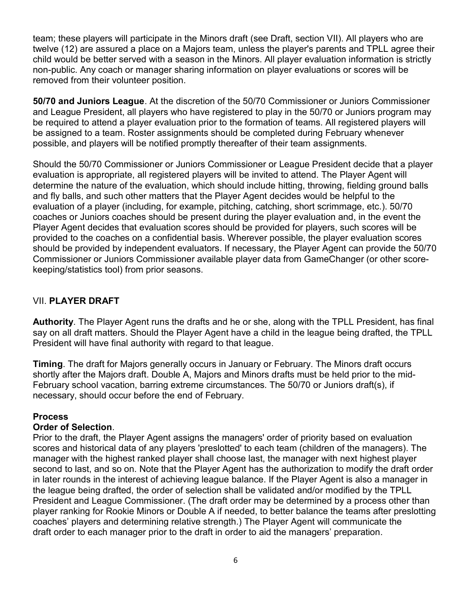team; these players will participate in the Minors draft (see Draft, section VII). All players who are twelve (12) are assured a place on a Majors team, unless the player's parents and TPLL agree their child would be better served with a season in the Minors. All player evaluation information is strictly non-public. Any coach or manager sharing information on player evaluations or scores will be removed from their volunteer position.

50/70 and Juniors League. At the discretion of the 50/70 Commissioner or Juniors Commissioner and League President, all players who have registered to play in the 50/70 or Juniors program may be required to attend a player evaluation prior to the formation of teams. All registered players will be assigned to a team. Roster assignments should be completed during February whenever possible, and players will be notified promptly thereafter of their team assignments.

Should the 50/70 Commissioner or Juniors Commissioner or League President decide that a player evaluation is appropriate, all registered players will be invited to attend. The Player Agent will determine the nature of the evaluation, which should include hitting, throwing, fielding ground balls and fly balls, and such other matters that the Player Agent decides would be helpful to the evaluation of a player (including, for example, pitching, catching, short scrimmage, etc.). 50/70 coaches or Juniors coaches should be present during the player evaluation and, in the event the Player Agent decides that evaluation scores should be provided for players, such scores will be provided to the coaches on a confidential basis. Wherever possible, the player evaluation scores should be provided by independent evaluators. If necessary, the Player Agent can provide the 50/70 Commissioner or Juniors Commissioner available player data from GameChanger (or other scorekeeping/statistics tool) from prior seasons.

## VII. PLAYER DRAFT

Authority. The Player Agent runs the drafts and he or she, along with the TPLL President, has final say on all draft matters. Should the Player Agent have a child in the league being drafted, the TPLL President will have final authority with regard to that league.

Timing. The draft for Majors generally occurs in January or February. The Minors draft occurs shortly after the Majors draft. Double A, Majors and Minors drafts must be held prior to the mid-February school vacation, barring extreme circumstances. The 50/70 or Juniors draft(s), if necessary, should occur before the end of February.

## Process

#### Order of Selection.

Prior to the draft, the Player Agent assigns the managers' order of priority based on evaluation scores and historical data of any players 'preslotted' to each team (children of the managers). The manager with the highest ranked player shall choose last, the manager with next highest player second to last, and so on. Note that the Player Agent has the authorization to modify the draft order in later rounds in the interest of achieving league balance. If the Player Agent is also a manager in the league being drafted, the order of selection shall be validated and/or modified by the TPLL President and League Commissioner. (The draft order may be determined by a process other than player ranking for Rookie Minors or Double A if needed, to better balance the teams after preslotting coaches' players and determining relative strength.) The Player Agent will communicate the draft order to each manager prior to the draft in order to aid the managers' preparation.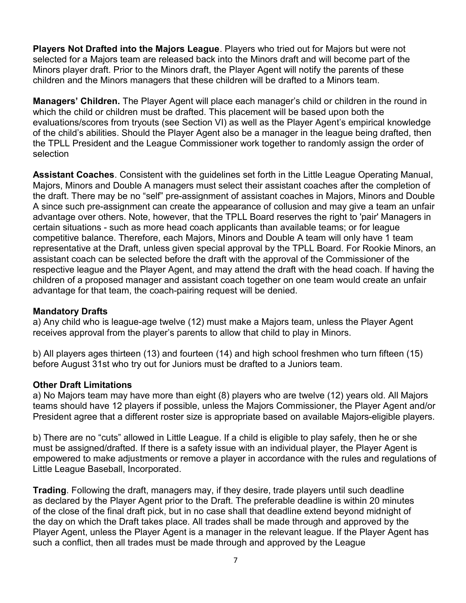Players Not Drafted into the Majors League. Players who tried out for Majors but were not selected for a Majors team are released back into the Minors draft and will become part of the Minors player draft. Prior to the Minors draft, the Player Agent will notify the parents of these children and the Minors managers that these children will be drafted to a Minors team.

Managers' Children. The Player Agent will place each manager's child or children in the round in which the child or children must be drafted. This placement will be based upon both the evaluations/scores from tryouts (see Section VI) as well as the Player Agent's empirical knowledge of the child's abilities. Should the Player Agent also be a manager in the league being drafted, then the TPLL President and the League Commissioner work together to randomly assign the order of selection

Assistant Coaches. Consistent with the guidelines set forth in the Little League Operating Manual, Majors, Minors and Double A managers must select their assistant coaches after the completion of the draft. There may be no "self" pre-assignment of assistant coaches in Majors, Minors and Double A since such pre-assignment can create the appearance of collusion and may give a team an unfair advantage over others. Note, however, that the TPLL Board reserves the right to 'pair' Managers in certain situations - such as more head coach applicants than available teams; or for league competitive balance. Therefore, each Majors, Minors and Double A team will only have 1 team representative at the Draft, unless given special approval by the TPLL Board. For Rookie Minors, an assistant coach can be selected before the draft with the approval of the Commissioner of the respective league and the Player Agent, and may attend the draft with the head coach. If having the children of a proposed manager and assistant coach together on one team would create an unfair advantage for that team, the coach-pairing request will be denied.

#### Mandatory Drafts

a) Any child who is league-age twelve (12) must make a Majors team, unless the Player Agent receives approval from the player's parents to allow that child to play in Minors.

b) All players ages thirteen (13) and fourteen (14) and high school freshmen who turn fifteen (15) before August 31st who try out for Juniors must be drafted to a Juniors team.

#### Other Draft Limitations

a) No Majors team may have more than eight (8) players who are twelve (12) years old. All Majors teams should have 12 players if possible, unless the Majors Commissioner, the Player Agent and/or President agree that a different roster size is appropriate based on available Majors-eligible players.

b) There are no "cuts" allowed in Little League. If a child is eligible to play safely, then he or she must be assigned/drafted. If there is a safety issue with an individual player, the Player Agent is empowered to make adjustments or remove a player in accordance with the rules and regulations of Little League Baseball, Incorporated.

**Trading**. Following the draft, managers may, if they desire, trade players until such deadline as declared by the Player Agent prior to the Draft. The preferable deadline is within 20 minutes of the close of the final draft pick, but in no case shall that deadline extend beyond midnight of the day on which the Draft takes place. All trades shall be made through and approved by the Player Agent, unless the Player Agent is a manager in the relevant league. If the Player Agent has such a conflict, then all trades must be made through and approved by the League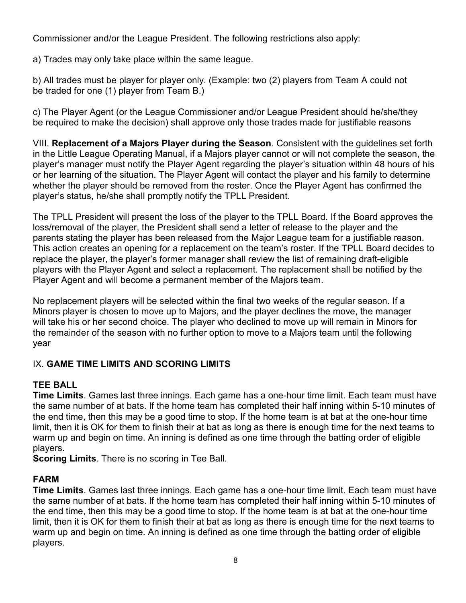Commissioner and/or the League President. The following restrictions also apply:

a) Trades may only take place within the same league.

b) All trades must be player for player only. (Example: two (2) players from Team A could not be traded for one (1) player from Team B.)

c) The Player Agent (or the League Commissioner and/or League President should he/she/they be required to make the decision) shall approve only those trades made for justifiable reasons

VIII. Replacement of a Majors Player during the Season. Consistent with the guidelines set forth in the Little League Operating Manual, if a Majors player cannot or will not complete the season, the player's manager must notify the Player Agent regarding the player's situation within 48 hours of his or her learning of the situation. The Player Agent will contact the player and his family to determine whether the player should be removed from the roster. Once the Player Agent has confirmed the player's status, he/she shall promptly notify the TPLL President.

The TPLL President will present the loss of the player to the TPLL Board. If the Board approves the loss/removal of the player, the President shall send a letter of release to the player and the parents stating the player has been released from the Major League team for a justifiable reason. This action creates an opening for a replacement on the team's roster. If the TPLL Board decides to replace the player, the player's former manager shall review the list of remaining draft-eligible players with the Player Agent and select a replacement. The replacement shall be notified by the Player Agent and will become a permanent member of the Majors team.

No replacement players will be selected within the final two weeks of the regular season. If a Minors player is chosen to move up to Majors, and the player declines the move, the manager will take his or her second choice. The player who declined to move up will remain in Minors for the remainder of the season with no further option to move to a Majors team until the following year

## IX. GAME TIME LIMITS AND SCORING LIMITS

## TEE BALL

Time Limits. Games last three innings. Each game has a one-hour time limit. Each team must have the same number of at bats. If the home team has completed their half inning within 5-10 minutes of the end time, then this may be a good time to stop. If the home team is at bat at the one-hour time limit, then it is OK for them to finish their at bat as long as there is enough time for the next teams to warm up and begin on time. An inning is defined as one time through the batting order of eligible players.

**Scoring Limits**. There is no scoring in Tee Ball.

## FARM

Time Limits. Games last three innings. Each game has a one-hour time limit. Each team must have the same number of at bats. If the home team has completed their half inning within 5-10 minutes of the end time, then this may be a good time to stop. If the home team is at bat at the one-hour time limit, then it is OK for them to finish their at bat as long as there is enough time for the next teams to warm up and begin on time. An inning is defined as one time through the batting order of eligible players.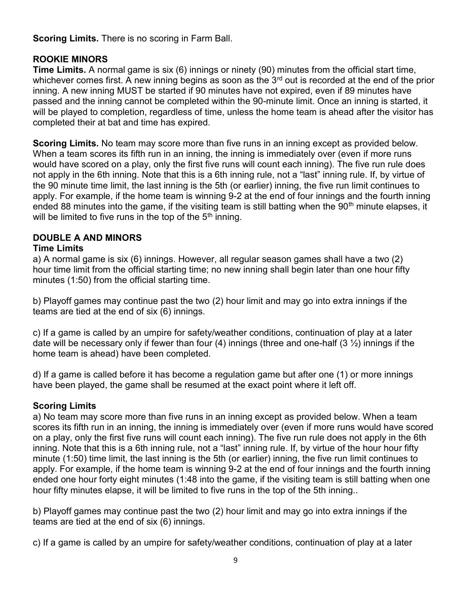Scoring Limits. There is no scoring in Farm Ball.

## ROOKIE MINORS

Time Limits. A normal game is six (6) innings or ninety (90) minutes from the official start time, whichever comes first. A new inning begins as soon as the  $3<sup>rd</sup>$  out is recorded at the end of the prior inning. A new inning MUST be started if 90 minutes have not expired, even if 89 minutes have passed and the inning cannot be completed within the 90-minute limit. Once an inning is started, it will be played to completion, regardless of time, unless the home team is ahead after the visitor has completed their at bat and time has expired.

Scoring Limits. No team may score more than five runs in an inning except as provided below. When a team scores its fifth run in an inning, the inning is immediately over (even if more runs would have scored on a play, only the first five runs will count each inning). The five run rule does not apply in the 6th inning. Note that this is a 6th inning rule, not a "last" inning rule. If, by virtue of the 90 minute time limit, the last inning is the 5th (or earlier) inning, the five run limit continues to apply. For example, if the home team is winning 9-2 at the end of four innings and the fourth inning ended 88 minutes into the game, if the visiting team is still batting when the  $90<sup>th</sup>$  minute elapses, it will be limited to five runs in the top of the  $5<sup>th</sup>$  inning.

## DOUBLE A AND MINORS

#### Time Limits

a) A normal game is six (6) innings. However, all regular season games shall have a two (2) hour time limit from the official starting time; no new inning shall begin later than one hour fifty minutes (1:50) from the official starting time.

b) Playoff games may continue past the two (2) hour limit and may go into extra innings if the teams are tied at the end of six (6) innings.

c) If a game is called by an umpire for safety/weather conditions, continuation of play at a later date will be necessary only if fewer than four (4) innings (three and one-half  $(3 \frac{1}{2})$  innings if the home team is ahead) have been completed.

d) If a game is called before it has become a regulation game but after one (1) or more innings have been played, the game shall be resumed at the exact point where it left off.

## Scoring Limits

a) No team may score more than five runs in an inning except as provided below. When a team scores its fifth run in an inning, the inning is immediately over (even if more runs would have scored on a play, only the first five runs will count each inning). The five run rule does not apply in the 6th inning. Note that this is a 6th inning rule, not a "last" inning rule. If, by virtue of the hour hour fifty minute (1:50) time limit, the last inning is the 5th (or earlier) inning, the five run limit continues to apply. For example, if the home team is winning 9-2 at the end of four innings and the fourth inning ended one hour forty eight minutes (1:48 into the game, if the visiting team is still batting when one hour fifty minutes elapse, it will be limited to five runs in the top of the 5th inning..

b) Playoff games may continue past the two (2) hour limit and may go into extra innings if the teams are tied at the end of six (6) innings.

c) If a game is called by an umpire for safety/weather conditions, continuation of play at a later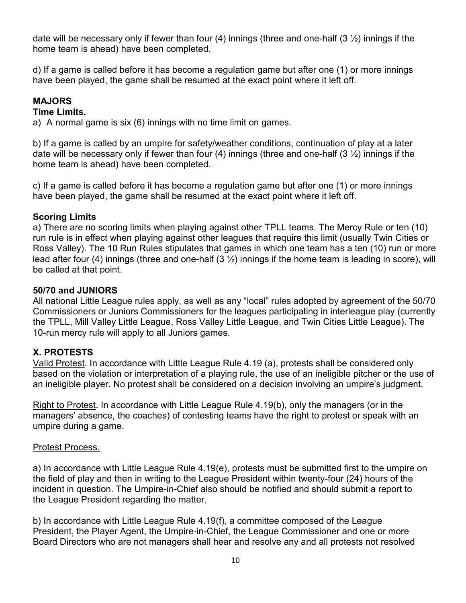date will be necessary only if fewer than four (4) innings (three and one-half  $(3 \frac{1}{2})$  innings if the home team is ahead) have been completed.

d) If a game is called before it has become a regulation game but after one (1) or more innings have been played, the game shall be resumed at the exact point where it left off.

## MAJORS

#### Time Limits.

a) A normal game is six (6) innings with no time limit on games.

b) If a game is called by an umpire for safety/weather conditions, continuation of play at a later date will be necessary only if fewer than four (4) innings (three and one-half  $(3 \frac{1}{2})$  innings if the home team is ahead) have been completed.

c) If a game is called before it has become a regulation game but after one (1) or more innings have been played, the game shall be resumed at the exact point where it left off.

#### Scoring Limits

a) There are no scoring limits when playing against other TPLL teams. The Mercy Rule or ten (10) run rule is in effect when playing against other leagues that require this limit (usually Twin Cities or Ross Valley). The 10 Run Rules stipulates that games in which one team has a ten (10) run or more lead after four (4) innings (three and one-half  $(3 \frac{1}{2})$  innings if the home team is leading in score), will be called at that point.

#### 50/70 and JUNIORS

All national Little League rules apply, as well as any "local" rules adopted by agreement of the 50/70 Commissioners or Juniors Commissioners for the leagues participating in interleague play (currently the TPLL, Mill Valley Little League, Ross Valley Little League, and Twin Cities Little League). The 10-run mercy rule will apply to all Juniors games.

## X. PROTESTS

Valid Protest. In accordance with Little League Rule 4.19 (a), protests shall be considered only based on the violation or interpretation of a playing rule, the use of an ineligible pitcher or the use of an ineligible player. No protest shall be considered on a decision involving an umpire's judgment.

Right to Protest. In accordance with Little League Rule 4.19(b), only the managers (or in the managers' absence, the coaches) of contesting teams have the right to protest or speak with an umpire during a game.

#### Protest Process.

a) In accordance with Little League Rule 4.19(e), protests must be submitted first to the umpire on the field of play and then in writing to the League President within twenty-four (24) hours of the incident in question. The Umpire-in-Chief also should be notified and should submit a report to the League President regarding the matter.

b) In accordance with Little League Rule 4.19(f), a committee composed of the League President, the Player Agent, the Umpire-in-Chief, the League Commissioner and one or more Board Directors who are not managers shall hear and resolve any and all protests not resolved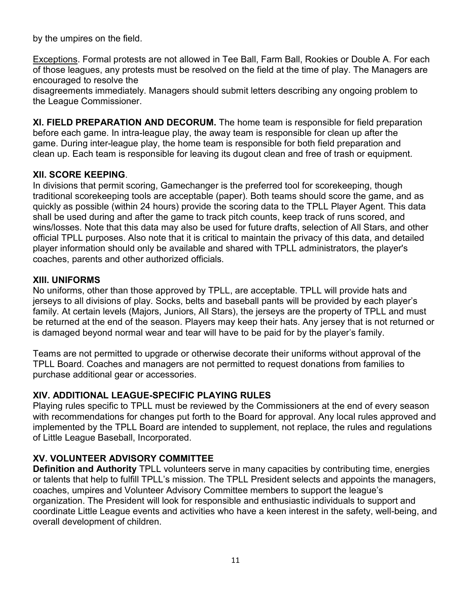by the umpires on the field.

Exceptions. Formal protests are not allowed in Tee Ball, Farm Ball, Rookies or Double A. For each of those leagues, any protests must be resolved on the field at the time of play. The Managers are encouraged to resolve the

disagreements immediately. Managers should submit letters describing any ongoing problem to the League Commissioner.

XI. FIELD PREPARATION AND DECORUM. The home team is responsible for field preparation before each game. In intra-league play, the away team is responsible for clean up after the game. During inter-league play, the home team is responsible for both field preparation and clean up. Each team is responsible for leaving its dugout clean and free of trash or equipment.

## XII. SCORE KEEPING.

In divisions that permit scoring, Gamechanger is the preferred tool for scorekeeping, though traditional scorekeeping tools are acceptable (paper). Both teams should score the game, and as quickly as possible (within 24 hours) provide the scoring data to the TPLL Player Agent. This data shall be used during and after the game to track pitch counts, keep track of runs scored, and wins/losses. Note that this data may also be used for future drafts, selection of All Stars, and other official TPLL purposes. Also note that it is critical to maintain the privacy of this data, and detailed player information should only be available and shared with TPLL administrators, the player's coaches, parents and other authorized officials.

## XIII. UNIFORMS

No uniforms, other than those approved by TPLL, are acceptable. TPLL will provide hats and jerseys to all divisions of play. Socks, belts and baseball pants will be provided by each player's family. At certain levels (Majors, Juniors, All Stars), the jerseys are the property of TPLL and must be returned at the end of the season. Players may keep their hats. Any jersey that is not returned or is damaged beyond normal wear and tear will have to be paid for by the player's family.

Teams are not permitted to upgrade or otherwise decorate their uniforms without approval of the TPLL Board. Coaches and managers are not permitted to request donations from families to purchase additional gear or accessories.

## XIV. ADDITIONAL LEAGUE-SPECIFIC PLAYING RULES

Playing rules specific to TPLL must be reviewed by the Commissioners at the end of every season with recommendations for changes put forth to the Board for approval. Any local rules approved and implemented by the TPLL Board are intended to supplement, not replace, the rules and regulations of Little League Baseball, Incorporated.

## XV. VOLUNTEER ADVISORY COMMITTEE

Definition and Authority TPLL volunteers serve in many capacities by contributing time, energies or talents that help to fulfill TPLL's mission. The TPLL President selects and appoints the managers, coaches, umpires and Volunteer Advisory Committee members to support the league's organization. The President will look for responsible and enthusiastic individuals to support and coordinate Little League events and activities who have a keen interest in the safety, well-being, and overall development of children.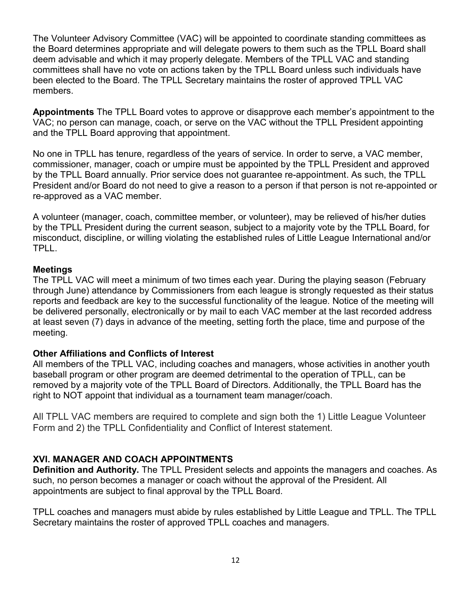The Volunteer Advisory Committee (VAC) will be appointed to coordinate standing committees as the Board determines appropriate and will delegate powers to them such as the TPLL Board shall deem advisable and which it may properly delegate. Members of the TPLL VAC and standing committees shall have no vote on actions taken by the TPLL Board unless such individuals have been elected to the Board. The TPLL Secretary maintains the roster of approved TPLL VAC members.

Appointments The TPLL Board votes to approve or disapprove each member's appointment to the VAC; no person can manage, coach, or serve on the VAC without the TPLL President appointing and the TPLL Board approving that appointment.

No one in TPLL has tenure, regardless of the years of service. In order to serve, a VAC member, commissioner, manager, coach or umpire must be appointed by the TPLL President and approved by the TPLL Board annually. Prior service does not guarantee re-appointment. As such, the TPLL President and/or Board do not need to give a reason to a person if that person is not re-appointed or re-approved as a VAC member.

A volunteer (manager, coach, committee member, or volunteer), may be relieved of his/her duties by the TPLL President during the current season, subject to a majority vote by the TPLL Board, for misconduct, discipline, or willing violating the established rules of Little League International and/or TPLL.

#### **Meetings**

The TPLL VAC will meet a minimum of two times each year. During the playing season (February through June) attendance by Commissioners from each league is strongly requested as their status reports and feedback are key to the successful functionality of the league. Notice of the meeting will be delivered personally, electronically or by mail to each VAC member at the last recorded address at least seven (7) days in advance of the meeting, setting forth the place, time and purpose of the meeting.

## Other Affiliations and Conflicts of Interest

All members of the TPLL VAC, including coaches and managers, whose activities in another youth baseball program or other program are deemed detrimental to the operation of TPLL, can be removed by a majority vote of the TPLL Board of Directors. Additionally, the TPLL Board has the right to NOT appoint that individual as a tournament team manager/coach.

All TPLL VAC members are required to complete and sign both the 1) Little League Volunteer Form and 2) the TPLL Confidentiality and Conflict of Interest statement.

## XVI. MANAGER AND COACH APPOINTMENTS

Definition and Authority. The TPLL President selects and appoints the managers and coaches. As such, no person becomes a manager or coach without the approval of the President. All appointments are subject to final approval by the TPLL Board.

TPLL coaches and managers must abide by rules established by Little League and TPLL. The TPLL Secretary maintains the roster of approved TPLL coaches and managers.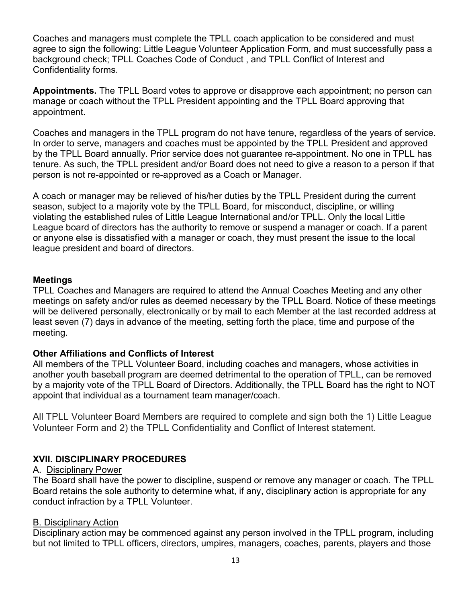Coaches and managers must complete the TPLL coach application to be considered and must agree to sign the following: Little League Volunteer Application Form, and must successfully pass a background check; TPLL Coaches Code of Conduct , and TPLL Conflict of Interest and Confidentiality forms.

Appointments. The TPLL Board votes to approve or disapprove each appointment; no person can manage or coach without the TPLL President appointing and the TPLL Board approving that appointment.

Coaches and managers in the TPLL program do not have tenure, regardless of the years of service. In order to serve, managers and coaches must be appointed by the TPLL President and approved by the TPLL Board annually. Prior service does not guarantee re-appointment. No one in TPLL has tenure. As such, the TPLL president and/or Board does not need to give a reason to a person if that person is not re-appointed or re-approved as a Coach or Manager.

A coach or manager may be relieved of his/her duties by the TPLL President during the current season, subject to a majority vote by the TPLL Board, for misconduct, discipline, or willing violating the established rules of Little League International and/or TPLL. Only the local Little League board of directors has the authority to remove or suspend a manager or coach. If a parent or anyone else is dissatisfied with a manager or coach, they must present the issue to the local league president and board of directors.

#### Meetings

TPLL Coaches and Managers are required to attend the Annual Coaches Meeting and any other meetings on safety and/or rules as deemed necessary by the TPLL Board. Notice of these meetings will be delivered personally, electronically or by mail to each Member at the last recorded address at least seven (7) days in advance of the meeting, setting forth the place, time and purpose of the meeting.

#### Other Affiliations and Conflicts of Interest

All members of the TPLL Volunteer Board, including coaches and managers, whose activities in another youth baseball program are deemed detrimental to the operation of TPLL, can be removed by a majority vote of the TPLL Board of Directors. Additionally, the TPLL Board has the right to NOT appoint that individual as a tournament team manager/coach.

All TPLL Volunteer Board Members are required to complete and sign both the 1) Little League Volunteer Form and 2) the TPLL Confidentiality and Conflict of Interest statement.

## XVII. DISCIPLINARY PROCEDURES

#### A. Disciplinary Power

The Board shall have the power to discipline, suspend or remove any manager or coach. The TPLL Board retains the sole authority to determine what, if any, disciplinary action is appropriate for any conduct infraction by a TPLL Volunteer.

#### B. Disciplinary Action

Disciplinary action may be commenced against any person involved in the TPLL program, including but not limited to TPLL officers, directors, umpires, managers, coaches, parents, players and those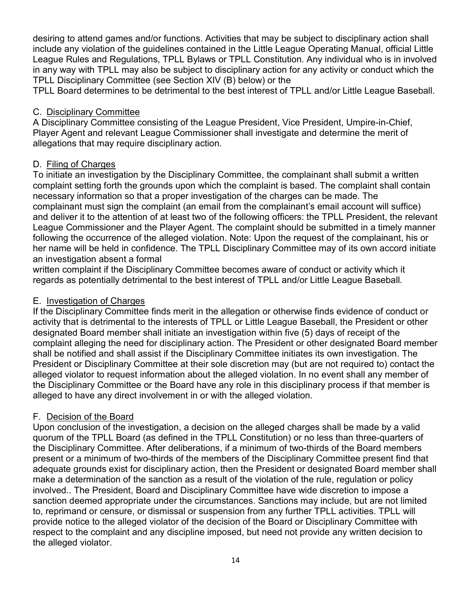desiring to attend games and/or functions. Activities that may be subject to disciplinary action shall include any violation of the guidelines contained in the Little League Operating Manual, official Little League Rules and Regulations, TPLL Bylaws or TPLL Constitution. Any individual who is in involved in any way with TPLL may also be subject to disciplinary action for any activity or conduct which the TPLL Disciplinary Committee (see Section XIV (B) below) or the

TPLL Board determines to be detrimental to the best interest of TPLL and/or Little League Baseball.

#### C. Disciplinary Committee

A Disciplinary Committee consisting of the League President, Vice President, Umpire-in-Chief, Player Agent and relevant League Commissioner shall investigate and determine the merit of allegations that may require disciplinary action.

#### D. Filing of Charges

To initiate an investigation by the Disciplinary Committee, the complainant shall submit a written complaint setting forth the grounds upon which the complaint is based. The complaint shall contain necessary information so that a proper investigation of the charges can be made. The complainant must sign the complaint (an email from the complainant's email account will suffice) and deliver it to the attention of at least two of the following officers: the TPLL President, the relevant League Commissioner and the Player Agent. The complaint should be submitted in a timely manner following the occurrence of the alleged violation. Note: Upon the request of the complainant, his or her name will be held in confidence. The TPLL Disciplinary Committee may of its own accord initiate an investigation absent a formal

written complaint if the Disciplinary Committee becomes aware of conduct or activity which it regards as potentially detrimental to the best interest of TPLL and/or Little League Baseball.

#### E. Investigation of Charges

If the Disciplinary Committee finds merit in the allegation or otherwise finds evidence of conduct or activity that is detrimental to the interests of TPLL or Little League Baseball, the President or other designated Board member shall initiate an investigation within five (5) days of receipt of the complaint alleging the need for disciplinary action. The President or other designated Board member shall be notified and shall assist if the Disciplinary Committee initiates its own investigation. The President or Disciplinary Committee at their sole discretion may (but are not required to) contact the alleged violator to request information about the alleged violation. In no event shall any member of the Disciplinary Committee or the Board have any role in this disciplinary process if that member is alleged to have any direct involvement in or with the alleged violation.

## F. Decision of the Board

Upon conclusion of the investigation, a decision on the alleged charges shall be made by a valid quorum of the TPLL Board (as defined in the TPLL Constitution) or no less than three-quarters of the Disciplinary Committee. After deliberations, if a minimum of two-thirds of the Board members present or a minimum of two-thirds of the members of the Disciplinary Committee present find that adequate grounds exist for disciplinary action, then the President or designated Board member shall make a determination of the sanction as a result of the violation of the rule, regulation or policy involved.. The President, Board and Disciplinary Committee have wide discretion to impose a sanction deemed appropriate under the circumstances. Sanctions may include, but are not limited to, reprimand or censure, or dismissal or suspension from any further TPLL activities. TPLL will provide notice to the alleged violator of the decision of the Board or Disciplinary Committee with respect to the complaint and any discipline imposed, but need not provide any written decision to the alleged violator.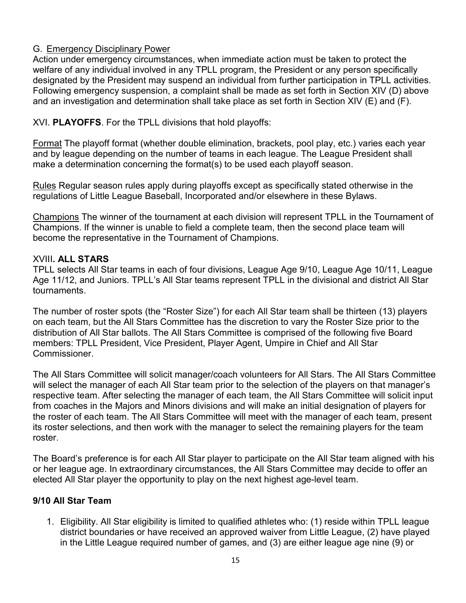## G. Emergency Disciplinary Power

Action under emergency circumstances, when immediate action must be taken to protect the welfare of any individual involved in any TPLL program, the President or any person specifically designated by the President may suspend an individual from further participation in TPLL activities. Following emergency suspension, a complaint shall be made as set forth in Section XIV (D) above and an investigation and determination shall take place as set forth in Section XIV (E) and (F).

## XVI. PLAYOFFS. For the TPLL divisions that hold playoffs:

Format The playoff format (whether double elimination, brackets, pool play, etc.) varies each year and by league depending on the number of teams in each league. The League President shall make a determination concerning the format(s) to be used each playoff season.

Rules Regular season rules apply during playoffs except as specifically stated otherwise in the regulations of Little League Baseball, Incorporated and/or elsewhere in these Bylaws.

Champions The winner of the tournament at each division will represent TPLL in the Tournament of Champions. If the winner is unable to field a complete team, then the second place team will become the representative in the Tournament of Champions.

#### XVIII. ALL STARS

TPLL selects All Star teams in each of four divisions, League Age 9/10, League Age 10/11, League Age 11/12, and Juniors. TPLL's All Star teams represent TPLL in the divisional and district All Star tournaments.

The number of roster spots (the "Roster Size") for each All Star team shall be thirteen (13) players on each team, but the All Stars Committee has the discretion to vary the Roster Size prior to the distribution of All Star ballots. The All Stars Committee is comprised of the following five Board members: TPLL President, Vice President, Player Agent, Umpire in Chief and All Star Commissioner.

The All Stars Committee will solicit manager/coach volunteers for All Stars. The All Stars Committee will select the manager of each All Star team prior to the selection of the players on that manager's respective team. After selecting the manager of each team, the All Stars Committee will solicit input from coaches in the Majors and Minors divisions and will make an initial designation of players for the roster of each team. The All Stars Committee will meet with the manager of each team, present its roster selections, and then work with the manager to select the remaining players for the team roster.

The Board's preference is for each All Star player to participate on the All Star team aligned with his or her league age. In extraordinary circumstances, the All Stars Committee may decide to offer an elected All Star player the opportunity to play on the next highest age-level team.

## 9/10 All Star Team

1. Eligibility. All Star eligibility is limited to qualified athletes who: (1) reside within TPLL league district boundaries or have received an approved waiver from Little League, (2) have played in the Little League required number of games, and (3) are either league age nine (9) or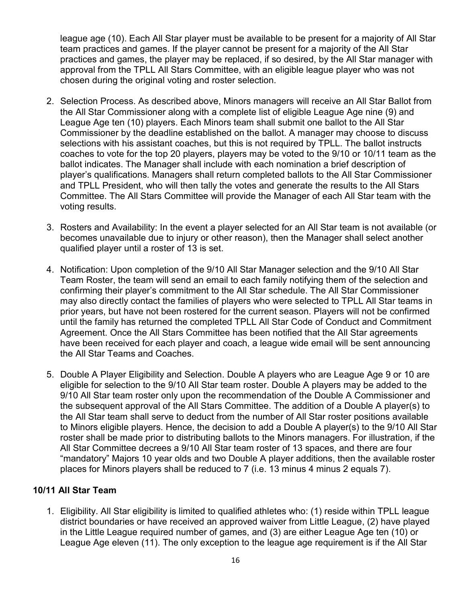league age (10). Each All Star player must be available to be present for a majority of All Star team practices and games. If the player cannot be present for a majority of the All Star practices and games, the player may be replaced, if so desired, by the All Star manager with approval from the TPLL All Stars Committee, with an eligible league player who was not chosen during the original voting and roster selection.

- 2. Selection Process. As described above, Minors managers will receive an All Star Ballot from the All Star Commissioner along with a complete list of eligible League Age nine (9) and League Age ten (10) players. Each Minors team shall submit one ballot to the All Star Commissioner by the deadline established on the ballot. A manager may choose to discuss selections with his assistant coaches, but this is not required by TPLL. The ballot instructs coaches to vote for the top 20 players, players may be voted to the 9/10 or 10/11 team as the ballot indicates. The Manager shall include with each nomination a brief description of player's qualifications. Managers shall return completed ballots to the All Star Commissioner and TPLL President, who will then tally the votes and generate the results to the All Stars Committee. The All Stars Committee will provide the Manager of each All Star team with the voting results.
- 3. Rosters and Availability: In the event a player selected for an All Star team is not available (or becomes unavailable due to injury or other reason), then the Manager shall select another qualified player until a roster of 13 is set.
- 4. Notification: Upon completion of the 9/10 All Star Manager selection and the 9/10 All Star Team Roster, the team will send an email to each family notifying them of the selection and confirming their player's commitment to the All Star schedule. The All Star Commissioner may also directly contact the families of players who were selected to TPLL All Star teams in prior years, but have not been rostered for the current season. Players will not be confirmed until the family has returned the completed TPLL All Star Code of Conduct and Commitment Agreement. Once the All Stars Committee has been notified that the All Star agreements have been received for each player and coach, a league wide email will be sent announcing the All Star Teams and Coaches.
- 5. Double A Player Eligibility and Selection. Double A players who are League Age 9 or 10 are eligible for selection to the 9/10 All Star team roster. Double A players may be added to the 9/10 All Star team roster only upon the recommendation of the Double A Commissioner and the subsequent approval of the All Stars Committee. The addition of a Double A player(s) to the All Star team shall serve to deduct from the number of All Star roster positions available to Minors eligible players. Hence, the decision to add a Double A player(s) to the 9/10 All Star roster shall be made prior to distributing ballots to the Minors managers. For illustration, if the All Star Committee decrees a 9/10 All Star team roster of 13 spaces, and there are four "mandatory" Majors 10 year olds and two Double A player additions, then the available roster places for Minors players shall be reduced to 7 (i.e. 13 minus 4 minus 2 equals 7).

#### 10/11 All Star Team

1. Eligibility. All Star eligibility is limited to qualified athletes who: (1) reside within TPLL league district boundaries or have received an approved waiver from Little League, (2) have played in the Little League required number of games, and (3) are either League Age ten (10) or League Age eleven (11). The only exception to the league age requirement is if the All Star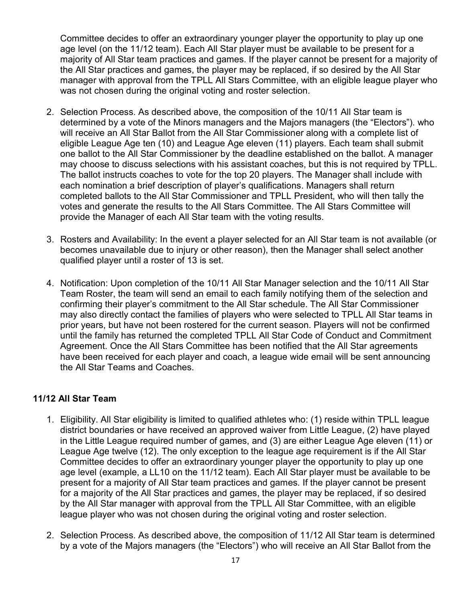Committee decides to offer an extraordinary younger player the opportunity to play up one age level (on the 11/12 team). Each All Star player must be available to be present for a majority of All Star team practices and games. If the player cannot be present for a majority of the All Star practices and games, the player may be replaced, if so desired by the All Star manager with approval from the TPLL All Stars Committee, with an eligible league player who was not chosen during the original voting and roster selection.

- 2. Selection Process. As described above, the composition of the 10/11 All Star team is determined by a vote of the Minors managers and the Majors managers (the "Electors"). who will receive an All Star Ballot from the All Star Commissioner along with a complete list of eligible League Age ten (10) and League Age eleven (11) players. Each team shall submit one ballot to the All Star Commissioner by the deadline established on the ballot. A manager may choose to discuss selections with his assistant coaches, but this is not required by TPLL. The ballot instructs coaches to vote for the top 20 players. The Manager shall include with each nomination a brief description of player's qualifications. Managers shall return completed ballots to the All Star Commissioner and TPLL President, who will then tally the votes and generate the results to the All Stars Committee. The All Stars Committee will provide the Manager of each All Star team with the voting results.
- 3. Rosters and Availability: In the event a player selected for an All Star team is not available (or becomes unavailable due to injury or other reason), then the Manager shall select another qualified player until a roster of 13 is set.
- 4. Notification: Upon completion of the 10/11 All Star Manager selection and the 10/11 All Star Team Roster, the team will send an email to each family notifying them of the selection and confirming their player's commitment to the All Star schedule. The All Star Commissioner may also directly contact the families of players who were selected to TPLL All Star teams in prior years, but have not been rostered for the current season. Players will not be confirmed until the family has returned the completed TPLL All Star Code of Conduct and Commitment Agreement. Once the All Stars Committee has been notified that the All Star agreements have been received for each player and coach, a league wide email will be sent announcing the All Star Teams and Coaches.

#### 11/12 All Star Team

- 1. Eligibility. All Star eligibility is limited to qualified athletes who: (1) reside within TPLL league district boundaries or have received an approved waiver from Little League, (2) have played in the Little League required number of games, and (3) are either League Age eleven (11) or League Age twelve (12). The only exception to the league age requirement is if the All Star Committee decides to offer an extraordinary younger player the opportunity to play up one age level (example, a LL10 on the 11/12 team). Each All Star player must be available to be present for a majority of All Star team practices and games. If the player cannot be present for a majority of the All Star practices and games, the player may be replaced, if so desired by the All Star manager with approval from the TPLL All Star Committee, with an eligible league player who was not chosen during the original voting and roster selection.
- 2. Selection Process. As described above, the composition of 11/12 All Star team is determined by a vote of the Majors managers (the "Electors") who will receive an All Star Ballot from the